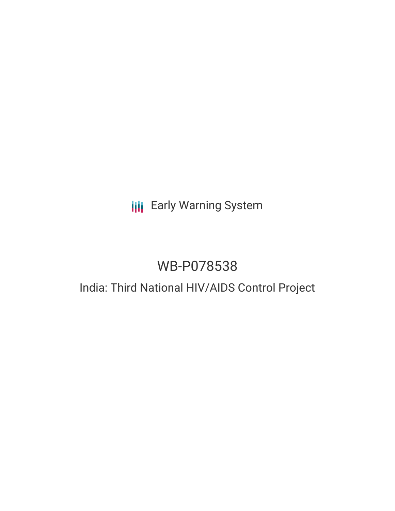## **III** Early Warning System

# WB-P078538

## India: Third National HIV/AIDS Control Project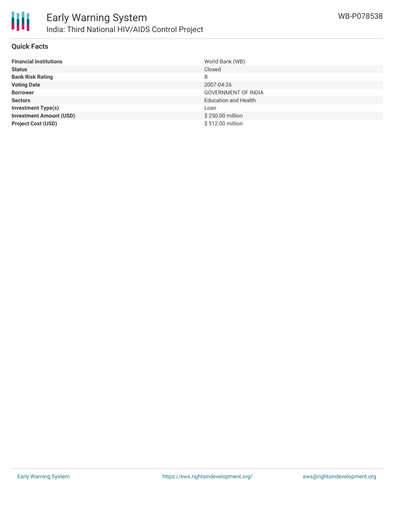

### **Quick Facts**

| <b>Financial Institutions</b>  | World Bank (WB)             |
|--------------------------------|-----------------------------|
| <b>Status</b>                  | Closed                      |
| <b>Bank Risk Rating</b>        | B                           |
| <b>Voting Date</b>             | 2007-04-26                  |
| <b>Borrower</b>                | <b>GOVERNMENT OF INDIA</b>  |
| <b>Sectors</b>                 | <b>Education and Health</b> |
| <b>Investment Type(s)</b>      | Loan                        |
| <b>Investment Amount (USD)</b> | \$250.00 million            |
| <b>Project Cost (USD)</b>      | \$512.00 million            |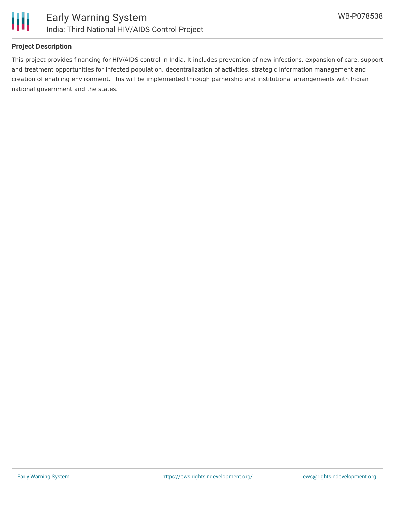

### **Project Description**

This project provides financing for HIV/AIDS control in India. It includes prevention of new infections, expansion of care, support and treatment opportunities for infected population, decentralization of activities, strategic information management and creation of enabling environment. This will be implemented through parnership and institutional arrangements with Indian national government and the states.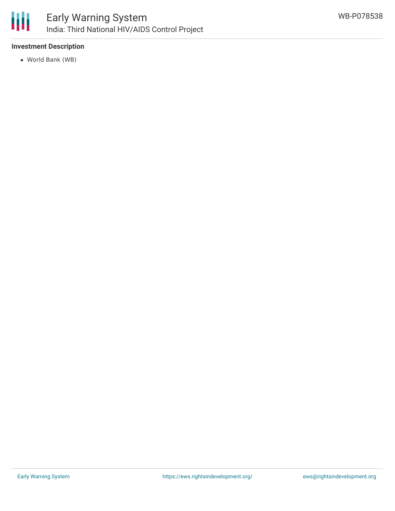

### Early Warning System India: Third National HIV/AIDS Control Project

### **Investment Description**

World Bank (WB)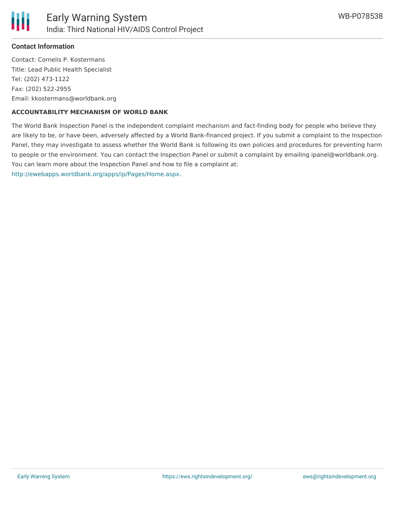

### **Contact Information**

Contact: Cornelis P. Kostermans Title: Lead Public Health Specialist Tel: (202) 473-1122 Fax: (202) 522-2955 Email: kkostermans@worldbank.org

### **ACCOUNTABILITY MECHANISM OF WORLD BANK**

The World Bank Inspection Panel is the independent complaint mechanism and fact-finding body for people who believe they are likely to be, or have been, adversely affected by a World Bank-financed project. If you submit a complaint to the Inspection Panel, they may investigate to assess whether the World Bank is following its own policies and procedures for preventing harm to people or the environment. You can contact the Inspection Panel or submit a complaint by emailing ipanel@worldbank.org. You can learn more about the Inspection Panel and how to file a complaint at: <http://ewebapps.worldbank.org/apps/ip/Pages/Home.aspx>.